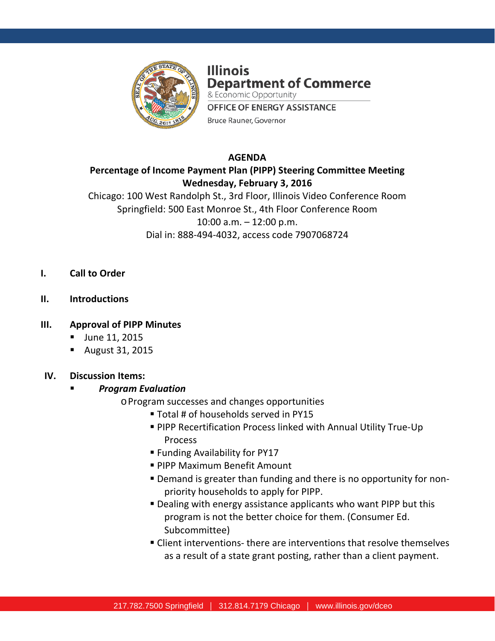

**Illinois Department of Commerce** & Economic Opportunity **OFFICE OF ENERGY ASSISTANCE** Bruce Rauner, Governor

### **AGENDA**

**Percentage of Income Payment Plan (PIPP) Steering Committee Meeting Wednesday, February 3, 2016**

Chicago: 100 West Randolph St., 3rd Floor, Illinois Video Conference Room Springfield: 500 East Monroe St., 4th Floor Conference Room 10:00 a.m. – 12:00 p.m. Dial in: 888-494-4032, access code 7907068724

- **I. Call to Order**
- **II. Introductions**

#### **III. Approval of PIPP Minutes**

- **June 11, 2015**
- August 31, 2015

#### **IV. Discussion Items:**

## *Program Evaluation*

- oProgram successes and changes opportunities
	- Total # of households served in PY15
	- PIPP Recertification Process linked with Annual Utility True-Up Process
	- Funding Availability for PY17
	- **PIPP Maximum Benefit Amount**
	- Demand is greater than funding and there is no opportunity for nonpriority households to apply for PIPP.
	- Dealing with energy assistance applicants who want PIPP but this program is not the better choice for them. (Consumer Ed. Subcommittee)
	- Client interventions- there are interventions that resolve themselves as a result of a state grant posting, rather than a client payment.